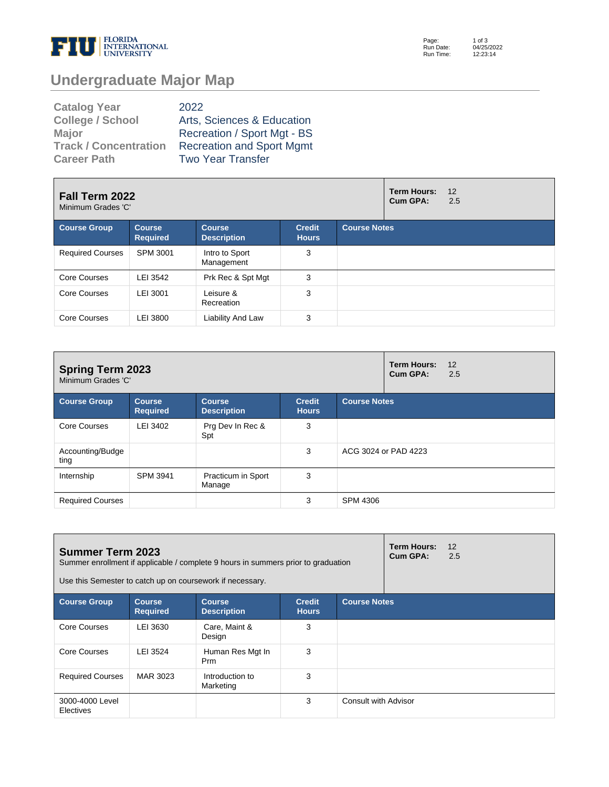

Page: Run Date: Run Time: 1 of 3 04/25/2022 12:23:14

# **Undergraduate Major Map**

| <b>Catalog Year</b>          | 2022                             |
|------------------------------|----------------------------------|
| <b>College / School</b>      | Arts, Sciences & Education       |
| <b>Major</b>                 | Recreation / Sport Mgt - BS      |
| <b>Track / Concentration</b> | <b>Recreation and Sport Mgmt</b> |
| <b>Career Path</b>           | <b>Two Year Transfer</b>         |

| Fall Term 2022<br>Minimum Grades 'C' |                                  |                                     |                               | <b>Term Hours:</b><br>Cum GPA: | 12<br>2.5 |  |
|--------------------------------------|----------------------------------|-------------------------------------|-------------------------------|--------------------------------|-----------|--|
| <b>Course Group</b>                  | <b>Course</b><br><b>Required</b> | <b>Course</b><br><b>Description</b> | <b>Credit</b><br><b>Hours</b> | <b>Course Notes</b>            |           |  |
| <b>Required Courses</b>              | SPM 3001                         | Intro to Sport<br>Management        | 3                             |                                |           |  |
| Core Courses                         | LEI 3542                         | Prk Rec & Spt Mgt                   | 3                             |                                |           |  |
| Core Courses                         | LEI 3001                         | Leisure &<br>Recreation             | 3                             |                                |           |  |
| Core Courses                         | LEI 3800                         | Liability And Law                   | 3                             |                                |           |  |

| <b>Spring Term 2023</b><br>Minimum Grades 'C' |                                  |                                     |                               | <b>Term Hours:</b><br>Cum GPA: | 12<br>2.5            |  |  |
|-----------------------------------------------|----------------------------------|-------------------------------------|-------------------------------|--------------------------------|----------------------|--|--|
| <b>Course Group</b>                           | <b>Course</b><br><b>Required</b> | <b>Course</b><br><b>Description</b> | <b>Credit</b><br><b>Hours</b> | <b>Course Notes</b>            |                      |  |  |
| Core Courses                                  | LEI 3402                         | Prg Dev In Rec &<br>Spt             | 3                             |                                |                      |  |  |
| Accounting/Budge<br>ting                      |                                  |                                     | 3                             |                                | ACG 3024 or PAD 4223 |  |  |
| Internship                                    | <b>SPM 3941</b>                  | Practicum in Sport<br>Manage        | 3                             |                                |                      |  |  |
| <b>Required Courses</b>                       |                                  |                                     | 3                             | <b>SPM 4306</b>                |                      |  |  |

| <b>Term Hours:</b><br><b>Summer Term 2023</b><br>Cum GPA:<br>Summer enrollment if applicable / complete 9 hours in summers prior to graduation<br>Use this Semester to catch up on coursework if necessary. |                                  |                                     |                               |                      |  | 12<br>2.5 |
|-------------------------------------------------------------------------------------------------------------------------------------------------------------------------------------------------------------|----------------------------------|-------------------------------------|-------------------------------|----------------------|--|-----------|
| <b>Course Group</b>                                                                                                                                                                                         | <b>Course</b><br><b>Required</b> | <b>Course</b><br><b>Description</b> | <b>Credit</b><br><b>Hours</b> | <b>Course Notes</b>  |  |           |
| Core Courses                                                                                                                                                                                                | LEI 3630                         | Care, Maint &<br>Design             | 3                             |                      |  |           |
| Core Courses                                                                                                                                                                                                | LEI 3524                         | Human Res Mgt In<br>Prm             | 3                             |                      |  |           |
| <b>Required Courses</b>                                                                                                                                                                                     | MAR 3023                         | Introduction to<br>Marketing        | 3                             |                      |  |           |
| 3000-4000 Level<br>Electives                                                                                                                                                                                |                                  |                                     | 3                             | Consult with Advisor |  |           |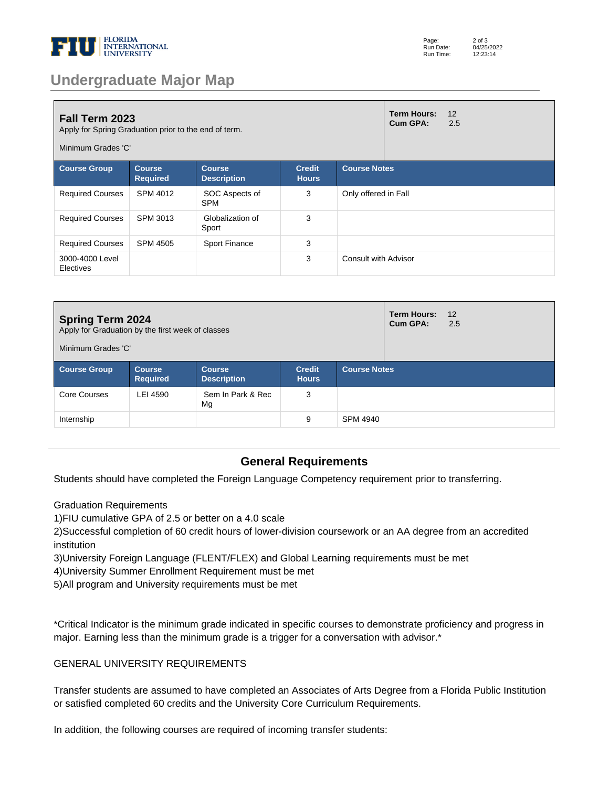

| Page:     | $2$ of $3$ |
|-----------|------------|
| Run Date: | 04/25/2022 |
| Run Time: | 12:23:14   |

## **Undergraduate Major Map**

| <b>Fall Term 2023</b><br>Apply for Spring Graduation prior to the end of term.<br>Minimum Grades 'C'                                                   |          |                              |   |                             | <b>Term Hours:</b><br>Cum GPA: | 12<br>2.5 |
|--------------------------------------------------------------------------------------------------------------------------------------------------------|----------|------------------------------|---|-----------------------------|--------------------------------|-----------|
| <b>Course Group</b><br><b>Course Notes</b><br><b>Course</b><br><b>Credit</b><br><b>Course</b><br><b>Required</b><br><b>Description</b><br><b>Hours</b> |          |                              |   |                             |                                |           |
| <b>Required Courses</b>                                                                                                                                | SPM 4012 | SOC Aspects of<br><b>SPM</b> | 3 | Only offered in Fall        |                                |           |
| <b>Required Courses</b>                                                                                                                                | SPM 3013 | Globalization of<br>Sport    | 3 |                             |                                |           |
| <b>Required Courses</b>                                                                                                                                | SPM 4505 | Sport Finance                | 3 |                             |                                |           |
| 3000-4000 Level<br>Electives                                                                                                                           |          |                              | 3 | <b>Consult with Advisor</b> |                                |           |

| <b>Spring Term 2024</b><br>Apply for Graduation by the first week of classes<br>Minimum Grades 'C' |                                  |                                     |                               |                     | <b>Term Hours:</b><br>Cum GPA: | 12<br>2.5 |  |
|----------------------------------------------------------------------------------------------------|----------------------------------|-------------------------------------|-------------------------------|---------------------|--------------------------------|-----------|--|
| <b>Course Group</b>                                                                                | <b>Course</b><br><b>Required</b> | <b>Course</b><br><b>Description</b> | <b>Credit</b><br><b>Hours</b> | <b>Course Notes</b> |                                |           |  |
| Core Courses                                                                                       | LEI 4590                         | Sem In Park & Rec<br>Mg             | 3                             |                     |                                |           |  |
| Internship                                                                                         |                                  |                                     | 9                             | SPM 4940            |                                |           |  |

### **General Requirements**

Students should have completed the Foreign Language Competency requirement prior to transferring.

Graduation Requirements

1) FIU cumulative GPA of 2.5 or better on a 4.0 scale

2) Successful completion of 60 credit hours of lower-division coursework or an AA degree from an accredited institution

- 3) University Foreign Language (FLENT/FLEX) and Global Learning requirements must be met
- 4) University Summer Enrollment Requirement must be met
- 5) All program and University requirements must be met

\*Critical Indicator is the minimum grade indicated in specific courses to demonstrate proficiency and progress in major. Earning less than the minimum grade is a trigger for a conversation with advisor.\*

#### GENERAL UNIVERSITY REQUIREMENTS

Transfer students are assumed to have completed an Associates of Arts Degree from a Florida Public Institution or satisfied completed 60 credits and the University Core Curriculum Requirements.

In addition, the following courses are required of incoming transfer students: